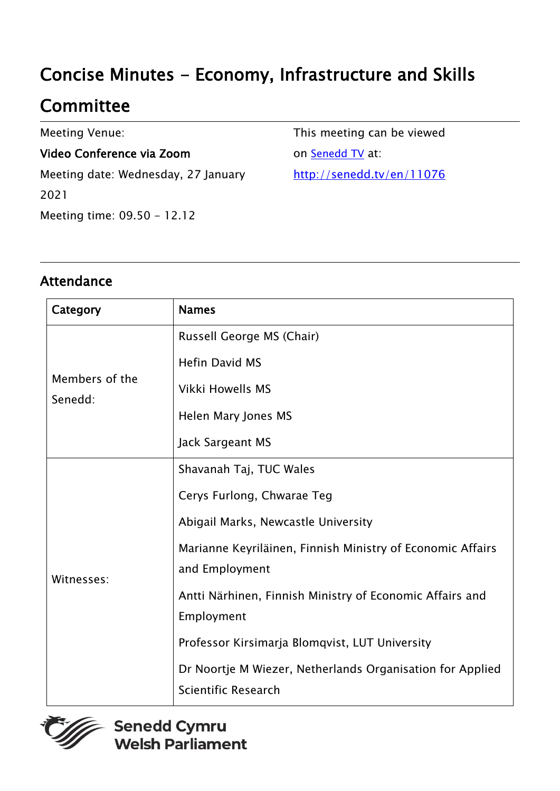# Concise Minutes - Economy, Infrastructure and Skills

## **Committee**

Meeting Venue:

#### Video Conference via Zoom

Meeting date: Wednesday, 27 January 2021 Meeting time: 09.50 - 12.12

This meeting can be viewed on **[Senedd TV](http://senedd.tv/)** at: http://senedd.tv/en/11076

### Attendance

| Category                  | <b>Names</b>                                                                            |
|---------------------------|-----------------------------------------------------------------------------------------|
| Members of the<br>Senedd: | Russell George MS (Chair)                                                               |
|                           | <b>Hefin David MS</b>                                                                   |
|                           | <b>Vikki Howells MS</b>                                                                 |
|                           | Helen Mary Jones MS                                                                     |
|                           | Jack Sargeant MS                                                                        |
| Witnesses:                | Shavanah Taj, TUC Wales                                                                 |
|                           | Cerys Furlong, Chwarae Teg                                                              |
|                           | Abigail Marks, Newcastle University                                                     |
|                           | Marianne Keyriläinen, Finnish Ministry of Economic Affairs<br>and Employment            |
|                           | Antti Närhinen, Finnish Ministry of Economic Affairs and                                |
|                           | Employment                                                                              |
|                           | Professor Kirsimarja Blomqvist, LUT University                                          |
|                           | Dr Noortje M Wiezer, Netherlands Organisation for Applied<br><b>Scientific Research</b> |

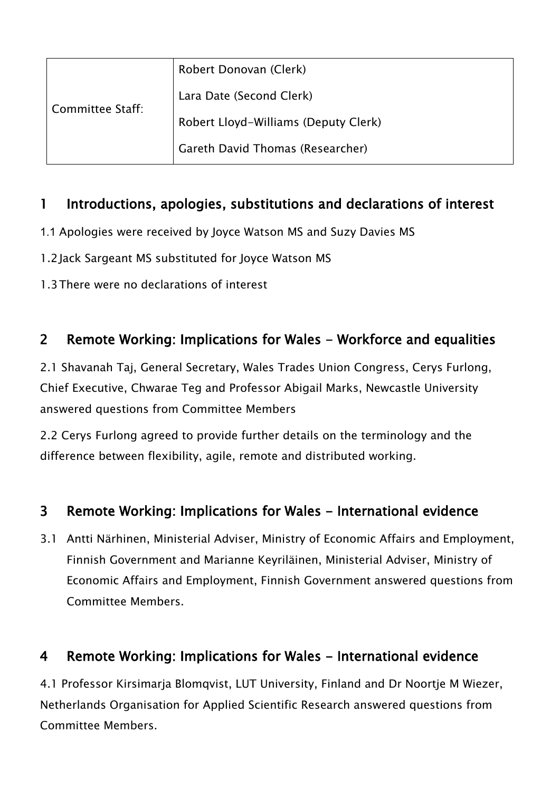| Committee Staff: | Robert Donovan (Clerk)               |
|------------------|--------------------------------------|
|                  | Lara Date (Second Clerk)             |
|                  | Robert Lloyd-Williams (Deputy Clerk) |
|                  | Gareth David Thomas (Researcher)     |

### 1 Introductions, apologies, substitutions and declarations of interest

- 1.1 Apologies were received by Joyce Watson MS and Suzy Davies MS
- 1.2 Jack Sargeant MS substituted for Joyce Watson MS
- 1.3There were no declarations of interest

### 2 Remote Working: Implications for Wales - Workforce and equalities

2.1 Shavanah Taj, General Secretary, Wales Trades Union Congress, Cerys Furlong, Chief Executive, Chwarae Teg and Professor Abigail Marks, Newcastle University answered questions from Committee Members

2.2 Cerys Furlong agreed to provide further details on the terminology and the difference between flexibility, agile, remote and distributed working.

### 3 Remote Working: Implications for Wales - International evidence

3.1 Antti Närhinen, Ministerial Adviser, Ministry of Economic Affairs and Employment, Finnish Government and Marianne Keyriläinen, Ministerial Adviser, Ministry of Economic Affairs and Employment, Finnish Government answered questions from Committee Members.

### 4 Remote Working: Implications for Wales - International evidence

4.1 Professor Kirsimarja Blomqvist, LUT University, Finland and Dr Noortje M Wiezer, Netherlands Organisation for Applied Scientific Research answered questions from Committee Members.